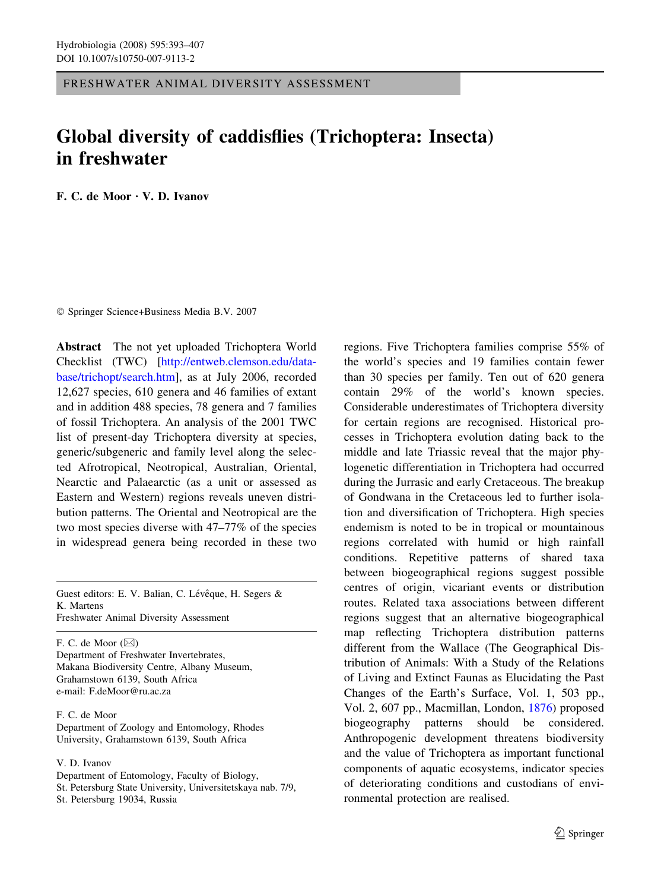FRESHWATER ANIMAL DIVERSITY ASSESSMENT

# Global diversity of caddisflies (Trichoptera: Insecta) in freshwater

F. C. de Moor  $\cdot$  V. D. Ivanov

Springer Science+Business Media B.V. 2007

Abstract The not yet uploaded Trichoptera World Checklist (TWC) [[http://entweb.clemson.edu/data](http://entweb.clemson.edu/database/trichopt/search.htm)[base/trichopt/search.htm](http://entweb.clemson.edu/database/trichopt/search.htm)], as at July 2006, recorded 12,627 species, 610 genera and 46 families of extant and in addition 488 species, 78 genera and 7 families of fossil Trichoptera. An analysis of the 2001 TWC list of present-day Trichoptera diversity at species, generic/subgeneric and family level along the selected Afrotropical, Neotropical, Australian, Oriental, Nearctic and Palaearctic (as a unit or assessed as Eastern and Western) regions reveals uneven distribution patterns. The Oriental and Neotropical are the two most species diverse with 47–77% of the species in widespread genera being recorded in these two

Guest editors: E. V. Balian, C. Lévêque, H. Segers & K. Martens Freshwater Animal Diversity Assessment

F. C. de Moor  $(\boxtimes)$ Department of Freshwater Invertebrates, Makana Biodiversity Centre, Albany Museum, Grahamstown 6139, South Africa e-mail: F.deMoor@ru.ac.za

F. C. de Moor Department of Zoology and Entomology, Rhodes University, Grahamstown 6139, South Africa

V. D. Ivanov

Department of Entomology, Faculty of Biology, St. Petersburg State University, Universitetskaya nab. 7/9, St. Petersburg 19034, Russia

regions. Five Trichoptera families comprise 55% of the world's species and 19 families contain fewer than 30 species per family. Ten out of 620 genera contain 29% of the world's known species. Considerable underestimates of Trichoptera diversity for certain regions are recognised. Historical processes in Trichoptera evolution dating back to the middle and late Triassic reveal that the major phylogenetic differentiation in Trichoptera had occurred during the Jurrasic and early Cretaceous. The breakup of Gondwana in the Cretaceous led to further isolation and diversification of Trichoptera. High species endemism is noted to be in tropical or mountainous regions correlated with humid or high rainfall conditions. Repetitive patterns of shared taxa between biogeographical regions suggest possible centres of origin, vicariant events or distribution routes. Related taxa associations between different regions suggest that an alternative biogeographical map reflecting Trichoptera distribution patterns different from the Wallace (The Geographical Distribution of Animals: With a Study of the Relations of Living and Extinct Faunas as Elucidating the Past Changes of the Earth's Surface, Vol. 1, 503 pp., Vol. 2, 607 pp., Macmillan, London, [1876](#page-14-0)) proposed biogeography patterns should be considered. Anthropogenic development threatens biodiversity and the value of Trichoptera as important functional components of aquatic ecosystems, indicator species of deteriorating conditions and custodians of environmental protection are realised.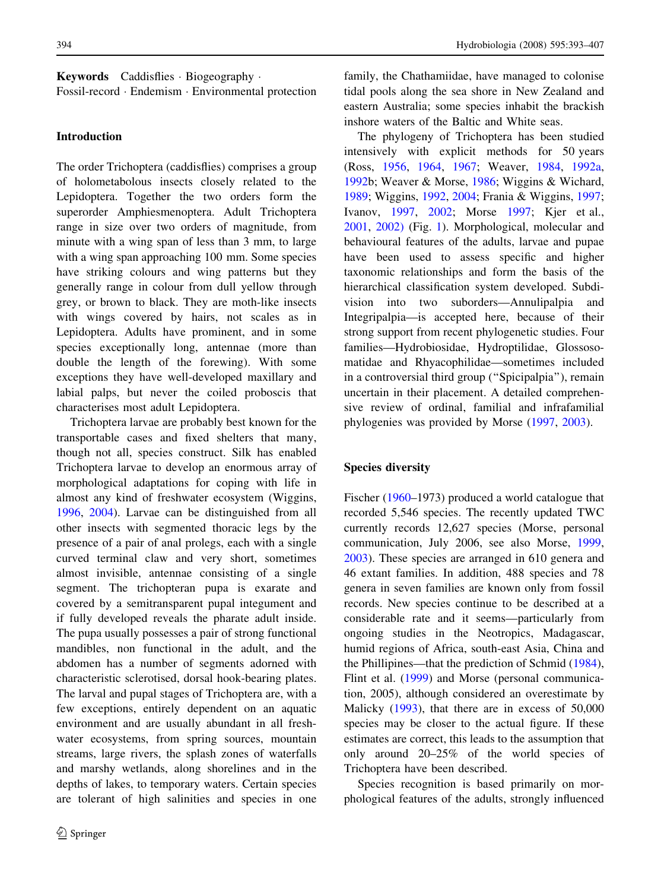**Keywords** Caddisflies Biogeography  $\cdot$ Fossil-record · Endemism · Environmental protection

# Introduction

The order Trichoptera (caddisflies) comprises a group of holometabolous insects closely related to the Lepidoptera. Together the two orders form the superorder Amphiesmenoptera. Adult Trichoptera range in size over two orders of magnitude, from minute with a wing span of less than 3 mm, to large with a wing span approaching 100 mm. Some species have striking colours and wing patterns but they generally range in colour from dull yellow through grey, or brown to black. They are moth-like insects with wings covered by hairs, not scales as in Lepidoptera. Adults have prominent, and in some species exceptionally long, antennae (more than double the length of the forewing). With some exceptions they have well-developed maxillary and labial palps, but never the coiled proboscis that characterises most adult Lepidoptera.

Trichoptera larvae are probably best known for the transportable cases and fixed shelters that many, though not all, species construct. Silk has enabled Trichoptera larvae to develop an enormous array of morphological adaptations for coping with life in almost any kind of freshwater ecosystem (Wiggins, [1996,](#page-14-0) [2004\)](#page-14-0). Larvae can be distinguished from all other insects with segmented thoracic legs by the presence of a pair of anal prolegs, each with a single curved terminal claw and very short, sometimes almost invisible, antennae consisting of a single segment. The trichopteran pupa is exarate and covered by a semitransparent pupal integument and if fully developed reveals the pharate adult inside. The pupa usually possesses a pair of strong functional mandibles, non functional in the adult, and the abdomen has a number of segments adorned with characteristic sclerotised, dorsal hook-bearing plates. The larval and pupal stages of Trichoptera are, with a few exceptions, entirely dependent on an aquatic environment and are usually abundant in all freshwater ecosystems, from spring sources, mountain streams, large rivers, the splash zones of waterfalls and marshy wetlands, along shorelines and in the depths of lakes, to temporary waters. Certain species are tolerant of high salinities and species in one

family, the Chathamiidae, have managed to colonise tidal pools along the sea shore in New Zealand and eastern Australia; some species inhabit the brackish inshore waters of the Baltic and White seas.

The phylogeny of Trichoptera has been studied intensively with explicit methods for 50 years (Ross, [1956,](#page-13-0) [1964,](#page-14-0) [1967;](#page-14-0) Weaver, [1984](#page-14-0), [1992a,](#page-14-0) [1992b](#page-14-0); Weaver & Morse, [1986;](#page-14-0) Wiggins & Wichard, [1989;](#page-14-0) Wiggins, [1992](#page-14-0), [2004](#page-14-0); Frania & Wiggins, [1997;](#page-13-0) Ivanov, [1997,](#page-13-0) [2002;](#page-13-0) Morse [1997;](#page-13-0) Kjer et al., [2001,](#page-13-0) [2002\)](#page-13-0) (Fig. [1](#page-2-0)). Morphological, molecular and behavioural features of the adults, larvae and pupae have been used to assess specific and higher taxonomic relationships and form the basis of the hierarchical classification system developed. Subdivision into two suborders—Annulipalpia and Integripalpia—is accepted here, because of their strong support from recent phylogenetic studies. Four families—Hydrobiosidae, Hydroptilidae, Glossosomatidae and Rhyacophilidae—sometimes included in a controversial third group (''Spicipalpia''), remain uncertain in their placement. A detailed comprehensive review of ordinal, familial and infrafamilial phylogenies was provided by Morse ([1997,](#page-13-0) [2003](#page-13-0)).

### Species diversity

Fischer [\(1960](#page-13-0)–1973) produced a world catalogue that recorded 5,546 species. The recently updated TWC currently records 12,627 species (Morse, personal communication, July 2006, see also Morse, [1999,](#page-13-0) [2003\)](#page-13-0). These species are arranged in 610 genera and 46 extant families. In addition, 488 species and 78 genera in seven families are known only from fossil records. New species continue to be described at a considerable rate and it seems—particularly from ongoing studies in the Neotropics, Madagascar, humid regions of Africa, south-east Asia, China and the Phillipines—that the prediction of Schmid ([1984](#page-14-0)), Flint et al. ([1999\)](#page-13-0) and Morse (personal communication, 2005), although considered an overestimate by Malicky [\(1993](#page-13-0)), that there are in excess of 50,000 species may be closer to the actual figure. If these estimates are correct, this leads to the assumption that only around 20–25% of the world species of Trichoptera have been described.

Species recognition is based primarily on morphological features of the adults, strongly influenced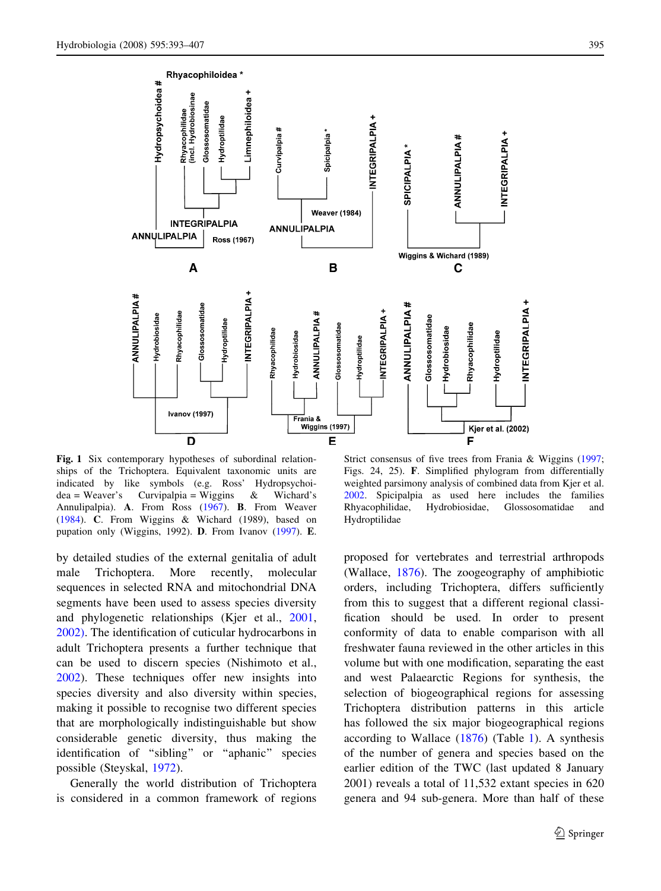<span id="page-2-0"></span>

Fig. 1 Six contemporary hypotheses of subordinal relationships of the Trichoptera. Equivalent taxonomic units are indicated by like symbols (e.g. Ross' Hydropsychoidea = Weaver's Curvipalpia = Wiggins & Wichard's Annulipalpia). A. From Ross [\(1967](#page-14-0)). B. From Weaver ([1984\)](#page-14-0). C. From Wiggins & Wichard (1989), based on pupation only (Wiggins, 1992). D. From Ivanov ([1997](#page-13-0)). E.

by detailed studies of the external genitalia of adult male Trichoptera. More recently, molecular sequences in selected RNA and mitochondrial DNA segments have been used to assess species diversity and phylogenetic relationships (Kjer et al., [2001,](#page-13-0) [2002\)](#page-13-0). The identification of cuticular hydrocarbons in adult Trichoptera presents a further technique that can be used to discern species (Nishimoto et al., [2002\)](#page-13-0). These techniques offer new insights into species diversity and also diversity within species, making it possible to recognise two different species that are morphologically indistinguishable but show considerable genetic diversity, thus making the identification of ''sibling'' or ''aphanic'' species possible (Steyskal, [1972\)](#page-14-0).

Generally the world distribution of Trichoptera is considered in a common framework of regions

Strict consensus of five trees from Frania & Wiggins ([1997;](#page-13-0) Figs. 24, 25). F. Simplified phylogram from differentially weighted parsimony analysis of combined data from Kjer et al. [2002.](#page-13-0) Spicipalpia as used here includes the families Rhyacophilidae, Hydrobiosidae, Glossosomatidae and Hydroptilidae

proposed for vertebrates and terrestrial arthropods (Wallace, [1876](#page-14-0)). The zoogeography of amphibiotic orders, including Trichoptera, differs sufficiently from this to suggest that a different regional classification should be used. In order to present conformity of data to enable comparison with all freshwater fauna reviewed in the other articles in this volume but with one modification, separating the east and west Palaearctic Regions for synthesis, the selection of biogeographical regions for assessing Trichoptera distribution patterns in this article has followed the six major biogeographical regions according to Wallace ([1876\)](#page-14-0) (Table [1\)](#page-3-0). A synthesis of the number of genera and species based on the earlier edition of the TWC (last updated 8 January 2001) reveals a total of 11,532 extant species in 620 genera and 94 sub-genera. More than half of these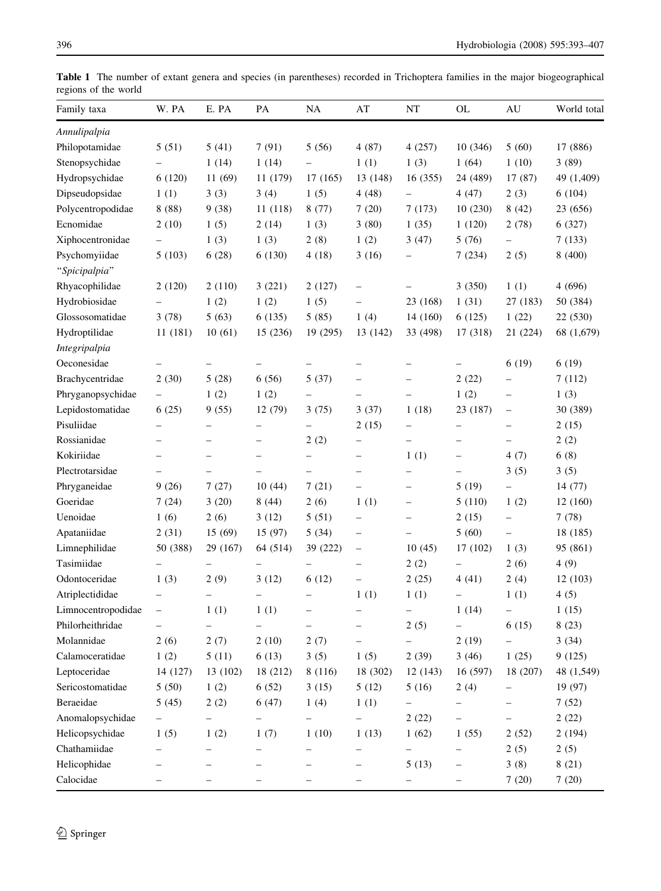| Family taxa        | W. PA                    | E. PA                    | PA                       | NA                       | AT                       | NT                       | OL                       | AU                       | World total |
|--------------------|--------------------------|--------------------------|--------------------------|--------------------------|--------------------------|--------------------------|--------------------------|--------------------------|-------------|
| Annulipalpia       |                          |                          |                          |                          |                          |                          |                          |                          |             |
| Philopotamidae     | 5(51)                    | 5(41)                    | 7(91)                    | 5(56)                    | 4(87)                    | 4(257)                   | 10(346)                  | 5(60)                    | 17 (886)    |
| Stenopsychidae     |                          | 1(14)                    | 1(14)                    |                          | 1(1)                     | 1(3)                     | 1(64)                    | 1(10)                    | 3(89)       |
| Hydropsychidae     | 6(120)                   | 11(69)                   | 11 (179)                 | 17(165)                  | 13 (148)                 | 16 (355)                 | 24 (489)                 | 17 (87)                  | 49 (1,409)  |
| Dipseudopsidae     | 1(1)                     | 3(3)                     | 3(4)                     | 1(5)                     | 4(48)                    | $\qquad \qquad -$        | 4(47)                    | 2(3)                     | 6(104)      |
| Polycentropodidae  | 8(88)                    | 9(38)                    | 11 (118)                 | 8(77)                    | 7(20)                    | 7(173)                   | 10(230)                  | 8(42)                    | 23 (656)    |
| Ecnomidae          | 2(10)                    | 1(5)                     | 2(14)                    | 1(3)                     | 3(80)                    | 1(35)                    | 1(120)                   | 2(78)                    | 6(327)      |
| Xiphocentronidae   |                          | 1(3)                     | 1(3)                     | 2(8)                     | 1(2)                     | 3(47)                    | 5(76)                    | $\overline{\phantom{0}}$ | 7(133)      |
| Psychomyiidae      | 5(103)                   | 6(28)                    | 6(130)                   | 4(18)                    | 3(16)                    |                          | 7(234)                   | 2(5)                     | 8(400)      |
| "Spicipalpia"      |                          |                          |                          |                          |                          |                          |                          |                          |             |
| Rhyacophilidae     | 2(120)                   | 2(110)                   | 3(221)                   | 2(127)                   | $\qquad \qquad -$        |                          | 3(350)                   | 1(1)                     | 4(696)      |
| Hydrobiosidae      |                          | 1(2)                     | 1(2)                     | 1(5)                     | $\overline{\phantom{0}}$ | 23 (168)                 | 1(31)                    | 27 (183)                 | 50 (384)    |
| Glossosomatidae    | 3(78)                    | 5(63)                    | 6(135)                   | 5(85)                    | 1(4)                     | 14 (160)                 | 6(125)                   | 1(22)                    | 22 (530)    |
| Hydroptilidae      | 11 (181)                 | 10(61)                   | 15 (236)                 | 19 (295)                 | 13 (142)                 | 33 (498)                 | 17 (318)                 | 21 (224)                 | 68 (1,679)  |
| Integripalpia      |                          |                          |                          |                          |                          |                          |                          |                          |             |
| Oeconesidae        |                          |                          |                          |                          | -                        | $\overline{\phantom{0}}$ |                          | 6(19)                    | 6(19)       |
| Brachycentridae    | 2(30)                    | 5(28)                    | 6(56)                    | 5(37)                    | $\overline{\phantom{0}}$ |                          | 2(22)                    |                          | 7(112)      |
| Phryganopsychidae  |                          | 1(2)                     | 1(2)                     |                          | $\overline{\phantom{0}}$ |                          | 1(2)                     | $\overline{\phantom{0}}$ | 1(3)        |
| Lepidostomatidae   | 6(25)                    | 9(55)                    | 12 (79)                  | 3(75)                    | 3(37)                    | 1(18)                    | 23 (187)                 | -                        | 30 (389)    |
| Pisuliidae         |                          |                          | $\qquad \qquad -$        | $\overline{\phantom{0}}$ | 2(15)                    | $\overline{\phantom{0}}$ | $\overline{\phantom{0}}$ | -                        | 2(15)       |
| Rossianidae        | $\overline{\phantom{0}}$ |                          | $\overline{\phantom{0}}$ | 2(2)                     | $\overline{\phantom{0}}$ | $\overline{\phantom{0}}$ | $\overline{\phantom{0}}$ | -                        | 2(2)        |
| Kokiriidae         | $\overline{\phantom{0}}$ | $\overline{\phantom{0}}$ | $\equiv$                 | $\overline{\phantom{0}}$ | $\overline{\phantom{0}}$ | 1(1)                     | $\overline{\phantom{0}}$ | 4(7)                     | 6(8)        |
| Plectrotarsidae    | -                        |                          |                          |                          | $\overline{\phantom{0}}$ | -                        |                          | 3(5)                     | 3(5)        |
| Phryganeidae       | 9(26)                    | 7(27)                    | 10(44)                   | 7(21)                    | $\overline{\phantom{m}}$ | $\overline{\phantom{0}}$ | 5(19)                    | $\overline{\phantom{0}}$ | 14(77)      |
| Goeridae           | 7(24)                    | 3(20)                    | 8(44)                    | 2(6)                     | 1(1)                     | $\overline{\phantom{0}}$ | 5(110)                   | 1(2)                     | 12(160)     |
| Uenoidae           | 1(6)                     | 2(6)                     | 3(12)                    | 5(51)                    | $\qquad \qquad -$        | $\overline{\phantom{0}}$ | 2(15)                    | $\overline{\phantom{0}}$ | 7(78)       |
| Apataniidae        | 2(31)                    | 15(69)                   | 15 (97)                  | 5(34)                    | $\overline{\phantom{0}}$ |                          | 5(60)                    | $\overline{\phantom{0}}$ | 18 (185)    |
| Limnephilidae      | 50 (388)                 | 29 (167)                 | 64 (514)                 | 39 (222)                 | $\qquad \qquad -$        | 10(45)                   | 17 (102)                 | 1(3)                     | 95 (861)    |
| Tasimiidae         | $\overline{\phantom{0}}$ | $\overline{\phantom{0}}$ | $\overline{\phantom{0}}$ |                          | $\overline{\phantom{0}}$ | 2(2)                     | $\overline{\phantom{0}}$ | 2(6)                     | 4(9)        |
| Odontoceridae      | 1(3)                     | 2(9)                     | 3(12)                    | 6(12)                    | $\overline{\phantom{0}}$ | 2(25)                    | 4(41)                    | 2(4)                     | 12(103)     |
| Atriplectididae    | $\overline{\phantom{0}}$ |                          |                          |                          | 1(1)                     | 1(1)                     |                          | 1(1)                     | 4(5)        |
| Limnocentropodidae | $\overline{\phantom{a}}$ | 1(1)                     | 1(1)                     |                          |                          |                          | 1(14)                    |                          | 1(15)       |
| Philorheithridae   | $\overline{\phantom{0}}$ |                          |                          | -                        | $\overline{\phantom{0}}$ | 2(5)                     | -                        | 6(15)                    | 8(23)       |
| Molannidae         | 2(6)                     | 2(7)                     | 2(10)                    | 2 (7)                    |                          |                          | 2(19)                    |                          | 3 (34)      |
| Calamoceratidae    | 1(2)                     | 5(11)                    | 6(13)                    | 3(5)                     | 1(5)                     | 2(39)                    | 3(46)                    | 1(25)                    | 9(125)      |
| Leptoceridae       | 14 (127)                 | 13 (102)                 | 18 (212)                 | 8 (116)                  | 18 (302)                 | 12(143)                  | 16 (597)                 | 18 (207)                 | 48 (1,549)  |
| Sericostomatidae   | 5(50)                    | 1(2)                     | 6(52)                    | 3(15)                    | 5(12)                    | 5(16)                    | 2(4)                     |                          | 19 (97)     |
| Beraeidae          | 5(45)                    | 2(2)                     | 6(47)                    | 1(4)                     | 1(1)                     |                          |                          |                          | 7(52)       |
| Anomalopsychidae   |                          |                          |                          |                          |                          | 2(22)                    |                          |                          | 2(22)       |
| Helicopsychidae    | 1(5)                     | 1(2)                     | 1(7)                     | 1(10)                    | 1(13)                    | 1(62)                    | 1(55)                    | 2(52)                    | 2(194)      |
| Chathamiidae       |                          |                          |                          |                          |                          |                          |                          | 2(5)                     | 2(5)        |
| Helicophidae       |                          |                          |                          |                          |                          | 5(13)                    |                          | 3(8)                     | 8(21)       |
| Calocidae          |                          |                          |                          |                          |                          | -                        |                          | 7(20)                    | 7(20)       |

<span id="page-3-0"></span>Table 1 The number of extant genera and species (in parentheses) recorded in Trichoptera families in the major biogeographical regions of the world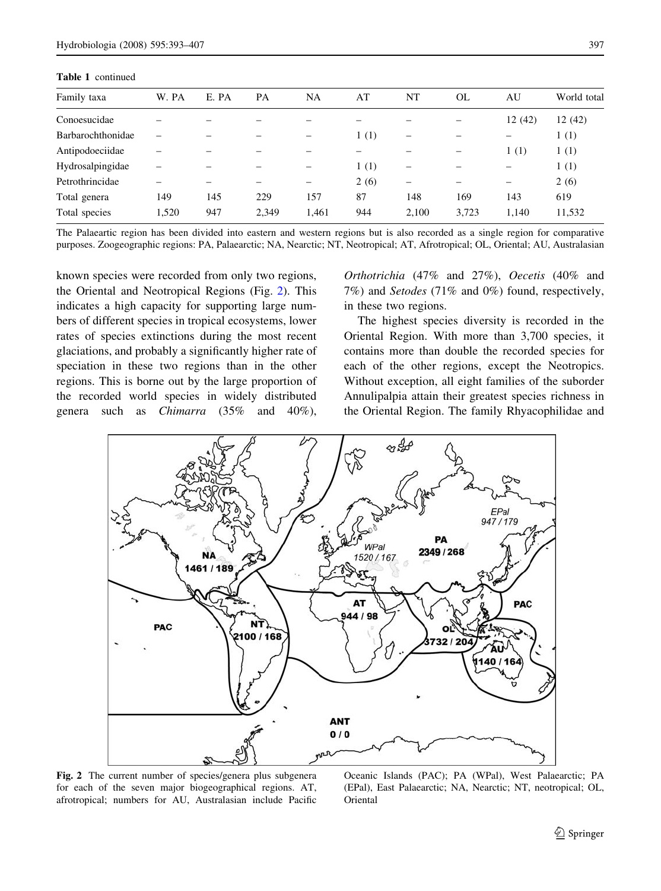Table 1 continued

| Family taxa       | W. PA | E. PA | <b>PA</b> | NA                | AT   | NT    | OL    | AU     | World total |
|-------------------|-------|-------|-----------|-------------------|------|-------|-------|--------|-------------|
| Conoesucidae      |       |       |           |                   |      |       |       | 12(42) | 12(42)      |
| Barbarochthonidae |       |       |           | -                 | 1(1) | -     |       | -      | 1(1)        |
| Antipodoeciidae   |       |       |           | -                 |      |       | -     | 1(1)   | 1(1)        |
| Hydrosalpingidae  |       |       |           | -                 | 1(1) | -     |       | -      | 1(1)        |
| Petrothrincidae   |       |       |           | $\qquad \qquad -$ | 2(6) |       |       | -      | 2(6)        |
| Total genera      | 149   | 145   | 229       | 157               | 87   | 148   | 169   | 143    | 619         |
| Total species     | 1,520 | 947   | 2,349     | 1,461             | 944  | 2,100 | 3,723 | 1.140  | 11,532      |
|                   |       |       |           |                   |      |       |       |        |             |

The Palaeartic region has been divided into eastern and western regions but is also recorded as a single region for comparative purposes. Zoogeographic regions: PA, Palaearctic; NA, Nearctic; NT, Neotropical; AT, Afrotropical; OL, Oriental; AU, Australasian

known species were recorded from only two regions, the Oriental and Neotropical Regions (Fig. 2). This indicates a high capacity for supporting large numbers of different species in tropical ecosystems, lower rates of species extinctions during the most recent glaciations, and probably a significantly higher rate of speciation in these two regions than in the other regions. This is borne out by the large proportion of the recorded world species in widely distributed genera such as Chimarra (35% and 40%), Orthotrichia (47% and 27%), Oecetis (40% and 7%) and Setodes (71% and 0%) found, respectively, in these two regions.

The highest species diversity is recorded in the Oriental Region. With more than 3,700 species, it contains more than double the recorded species for each of the other regions, except the Neotropics. Without exception, all eight families of the suborder Annulipalpia attain their greatest species richness in the Oriental Region. The family Rhyacophilidae and



Fig. 2 The current number of species/genera plus subgenera for each of the seven major biogeographical regions. AT, afrotropical; numbers for AU, Australasian include Pacific

Oceanic Islands (PAC); PA (WPal), West Palaearctic; PA (EPal), East Palaearctic; NA, Nearctic; NT, neotropical; OL, Oriental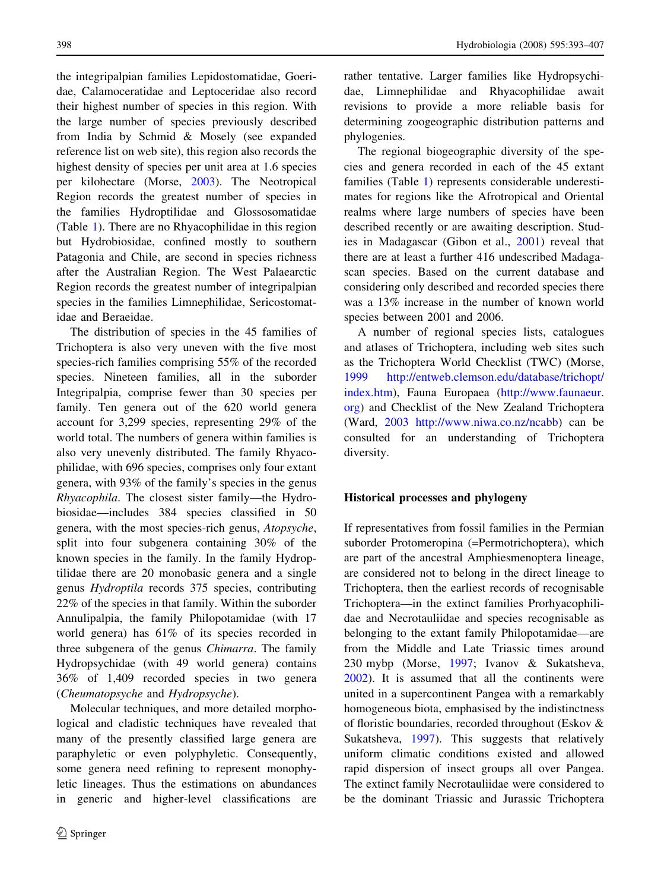the integripalpian families Lepidostomatidae, Goeridae, Calamoceratidae and Leptoceridae also record their highest number of species in this region. With the large number of species previously described from India by Schmid & Mosely (see expanded reference list on web site), this region also records the highest density of species per unit area at 1.6 species per kilohectare (Morse, [2003](#page-13-0)). The Neotropical Region records the greatest number of species in the families Hydroptilidae and Glossosomatidae (Table [1](#page-3-0)). There are no Rhyacophilidae in this region but Hydrobiosidae, confined mostly to southern Patagonia and Chile, are second in species richness after the Australian Region. The West Palaearctic Region records the greatest number of integripalpian species in the families Limnephilidae, Sericostomatidae and Beraeidae.

The distribution of species in the 45 families of Trichoptera is also very uneven with the five most species-rich families comprising 55% of the recorded species. Nineteen families, all in the suborder Integripalpia, comprise fewer than 30 species per family. Ten genera out of the 620 world genera account for 3,299 species, representing 29% of the world total. The numbers of genera within families is also very unevenly distributed. The family Rhyacophilidae, with 696 species, comprises only four extant genera, with 93% of the family's species in the genus Rhyacophila. The closest sister family—the Hydrobiosidae—includes 384 species classified in 50 genera, with the most species-rich genus, Atopsyche, split into four subgenera containing 30% of the known species in the family. In the family Hydroptilidae there are 20 monobasic genera and a single genus Hydroptila records 375 species, contributing 22% of the species in that family. Within the suborder Annulipalpia, the family Philopotamidae (with 17 world genera) has 61% of its species recorded in three subgenera of the genus Chimarra. The family Hydropsychidae (with 49 world genera) contains 36% of 1,409 recorded species in two genera (Cheumatopsyche and Hydropsyche).

Molecular techniques, and more detailed morphological and cladistic techniques have revealed that many of the presently classified large genera are paraphyletic or even polyphyletic. Consequently, some genera need refining to represent monophyletic lineages. Thus the estimations on abundances in generic and higher-level classifications are rather tentative. Larger families like Hydropsychidae, Limnephilidae and Rhyacophilidae await revisions to provide a more reliable basis for determining zoogeographic distribution patterns and phylogenies.

The regional biogeographic diversity of the species and genera recorded in each of the 45 extant families (Table [1](#page-3-0)) represents considerable underestimates for regions like the Afrotropical and Oriental realms where large numbers of species have been described recently or are awaiting description. Studies in Madagascar (Gibon et al., [2001\)](#page-13-0) reveal that there are at least a further 416 undescribed Madagascan species. Based on the current database and considering only described and recorded species there was a 13% increase in the number of known world species between 2001 and 2006.

A number of regional species lists, catalogues and atlases of Trichoptera, including web sites such as the Trichoptera World Checklist (TWC) (Morse, [1999](#page-13-0) [http://entweb.clemson.edu/database/trichopt/](http://entweb.clemson.edu/database/trichopt/index.htm) [index.htm](http://entweb.clemson.edu/database/trichopt/index.htm)), Fauna Europaea ([http://www.faunaeur.](http://www.faunaeur.org) [org](http://www.faunaeur.org)) and Checklist of the New Zealand Trichoptera (Ward, [2003](#page-14-0)<http://www.niwa.co.nz/ncabb>) can be consulted for an understanding of Trichoptera diversity.

# Historical processes and phylogeny

If representatives from fossil families in the Permian suborder Protomeropina (=Permotrichoptera), which are part of the ancestral Amphiesmenoptera lineage, are considered not to belong in the direct lineage to Trichoptera, then the earliest records of recognisable Trichoptera—in the extinct families Prorhyacophilidae and Necrotauliidae and species recognisable as belonging to the extant family Philopotamidae—are from the Middle and Late Triassic times around 230 mybp (Morse, [1997;](#page-13-0) Ivanov & Sukatsheva, [2002\)](#page-13-0). It is assumed that all the continents were united in a supercontinent Pangea with a remarkably homogeneous biota, emphasised by the indistinctness of floristic boundaries, recorded throughout (Eskov & Sukatsheva, [1997](#page-13-0)). This suggests that relatively uniform climatic conditions existed and allowed rapid dispersion of insect groups all over Pangea. The extinct family Necrotauliidae were considered to be the dominant Triassic and Jurassic Trichoptera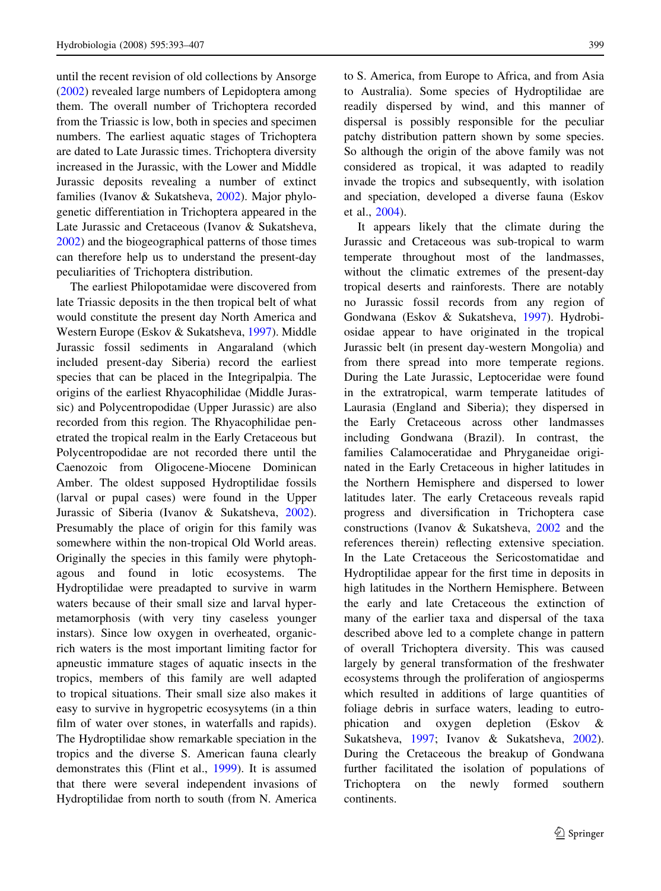until the recent revision of old collections by Ansorge [\(2002](#page-12-0)) revealed large numbers of Lepidoptera among them. The overall number of Trichoptera recorded from the Triassic is low, both in species and specimen numbers. The earliest aquatic stages of Trichoptera are dated to Late Jurassic times. Trichoptera diversity increased in the Jurassic, with the Lower and Middle Jurassic deposits revealing a number of extinct families (Ivanov & Sukatsheva, [2002](#page-13-0)). Major phylogenetic differentiation in Trichoptera appeared in the Late Jurassic and Cretaceous (Ivanov & Sukatsheva, [2002\)](#page-13-0) and the biogeographical patterns of those times can therefore help us to understand the present-day peculiarities of Trichoptera distribution.

The earliest Philopotamidae were discovered from late Triassic deposits in the then tropical belt of what would constitute the present day North America and Western Europe (Eskov & Sukatsheva, [1997](#page-13-0)). Middle Jurassic fossil sediments in Angaraland (which included present-day Siberia) record the earliest species that can be placed in the Integripalpia. The origins of the earliest Rhyacophilidae (Middle Jurassic) and Polycentropodidae (Upper Jurassic) are also recorded from this region. The Rhyacophilidae penetrated the tropical realm in the Early Cretaceous but Polycentropodidae are not recorded there until the Caenozoic from Oligocene-Miocene Dominican Amber. The oldest supposed Hydroptilidae fossils (larval or pupal cases) were found in the Upper Jurassic of Siberia (Ivanov & Sukatsheva, [2002](#page-13-0)). Presumably the place of origin for this family was somewhere within the non-tropical Old World areas. Originally the species in this family were phytophagous and found in lotic ecosystems. The Hydroptilidae were preadapted to survive in warm waters because of their small size and larval hypermetamorphosis (with very tiny caseless younger instars). Since low oxygen in overheated, organicrich waters is the most important limiting factor for apneustic immature stages of aquatic insects in the tropics, members of this family are well adapted to tropical situations. Their small size also makes it easy to survive in hygropetric ecosysytems (in a thin film of water over stones, in waterfalls and rapids). The Hydroptilidae show remarkable speciation in the tropics and the diverse S. American fauna clearly demonstrates this (Flint et al., [1999](#page-13-0)). It is assumed that there were several independent invasions of Hydroptilidae from north to south (from N. America

to S. America, from Europe to Africa, and from Asia to Australia). Some species of Hydroptilidae are readily dispersed by wind, and this manner of dispersal is possibly responsible for the peculiar patchy distribution pattern shown by some species. So although the origin of the above family was not considered as tropical, it was adapted to readily invade the tropics and subsequently, with isolation and speciation, developed a diverse fauna (Eskov et al., [2004](#page-13-0)).

It appears likely that the climate during the Jurassic and Cretaceous was sub-tropical to warm temperate throughout most of the landmasses, without the climatic extremes of the present-day tropical deserts and rainforests. There are notably no Jurassic fossil records from any region of Gondwana (Eskov & Sukatsheva, [1997\)](#page-13-0). Hydrobiosidae appear to have originated in the tropical Jurassic belt (in present day-western Mongolia) and from there spread into more temperate regions. During the Late Jurassic, Leptoceridae were found in the extratropical, warm temperate latitudes of Laurasia (England and Siberia); they dispersed in the Early Cretaceous across other landmasses including Gondwana (Brazil). In contrast, the families Calamoceratidae and Phryganeidae originated in the Early Cretaceous in higher latitudes in the Northern Hemisphere and dispersed to lower latitudes later. The early Cretaceous reveals rapid progress and diversification in Trichoptera case constructions (Ivanov & Sukatsheva, [2002](#page-13-0) and the references therein) reflecting extensive speciation. In the Late Cretaceous the Sericostomatidae and Hydroptilidae appear for the first time in deposits in high latitudes in the Northern Hemisphere. Between the early and late Cretaceous the extinction of many of the earlier taxa and dispersal of the taxa described above led to a complete change in pattern of overall Trichoptera diversity. This was caused largely by general transformation of the freshwater ecosystems through the proliferation of angiosperms which resulted in additions of large quantities of foliage debris in surface waters, leading to eutrophication and oxygen depletion (Eskov & Sukatsheva, [1997;](#page-13-0) Ivanov & Sukatsheva, [2002](#page-13-0)). During the Cretaceous the breakup of Gondwana further facilitated the isolation of populations of Trichoptera on the newly formed southern continents.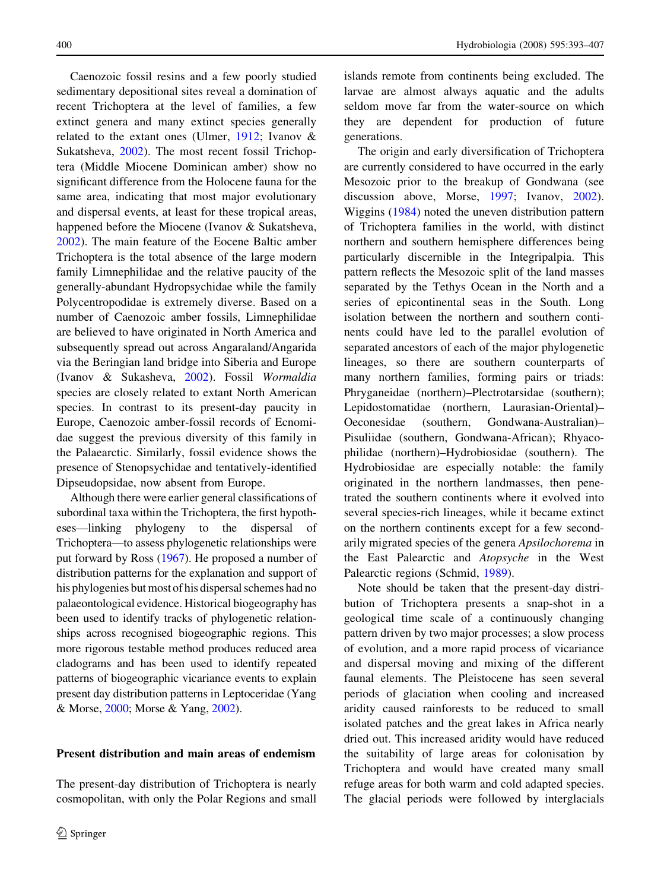Caenozoic fossil resins and a few poorly studied sedimentary depositional sites reveal a domination of recent Trichoptera at the level of families, a few extinct genera and many extinct species generally related to the extant ones (Ulmer, [1912;](#page-14-0) Ivanov & Sukatsheva, [2002\)](#page-13-0). The most recent fossil Trichoptera (Middle Miocene Dominican amber) show no significant difference from the Holocene fauna for the same area, indicating that most major evolutionary and dispersal events, at least for these tropical areas, happened before the Miocene (Ivanov & Sukatsheva, [2002\)](#page-13-0). The main feature of the Eocene Baltic amber Trichoptera is the total absence of the large modern family Limnephilidae and the relative paucity of the generally-abundant Hydropsychidae while the family Polycentropodidae is extremely diverse. Based on a number of Caenozoic amber fossils, Limnephilidae are believed to have originated in North America and subsequently spread out across Angaraland/Angarida via the Beringian land bridge into Siberia and Europe (Ivanov & Sukasheva, [2002\)](#page-13-0). Fossil Wormaldia species are closely related to extant North American species. In contrast to its present-day paucity in Europe, Caenozoic amber-fossil records of Ecnomidae suggest the previous diversity of this family in the Palaearctic. Similarly, fossil evidence shows the presence of Stenopsychidae and tentatively-identified Dipseudopsidae, now absent from Europe.

Although there were earlier general classifications of subordinal taxa within the Trichoptera, the first hypotheses—linking phylogeny to the dispersal of Trichoptera—to assess phylogenetic relationships were put forward by Ross [\(1967\)](#page-14-0). He proposed a number of distribution patterns for the explanation and support of his phylogenies but most of his dispersal schemes had no palaeontological evidence. Historical biogeography has been used to identify tracks of phylogenetic relationships across recognised biogeographic regions. This more rigorous testable method produces reduced area cladograms and has been used to identify repeated patterns of biogeographic vicariance events to explain present day distribution patterns in Leptoceridae (Yang & Morse, [2000](#page-14-0); Morse & Yang, [2002\)](#page-13-0).

# Present distribution and main areas of endemism

The present-day distribution of Trichoptera is nearly cosmopolitan, with only the Polar Regions and small islands remote from continents being excluded. The larvae are almost always aquatic and the adults seldom move far from the water-source on which they are dependent for production of future generations.

The origin and early diversification of Trichoptera are currently considered to have occurred in the early Mesozoic prior to the breakup of Gondwana (see discussion above, Morse, [1997](#page-13-0); Ivanov, [2002](#page-13-0)). Wiggins ([1984\)](#page-14-0) noted the uneven distribution pattern of Trichoptera families in the world, with distinct northern and southern hemisphere differences being particularly discernible in the Integripalpia. This pattern reflects the Mesozoic split of the land masses separated by the Tethys Ocean in the North and a series of epicontinental seas in the South. Long isolation between the northern and southern continents could have led to the parallel evolution of separated ancestors of each of the major phylogenetic lineages, so there are southern counterparts of many northern families, forming pairs or triads: Phryganeidae (northern)–Plectrotarsidae (southern); Lepidostomatidae (northern, Laurasian-Oriental)– Oeconesidae (southern, Gondwana-Australian)– Pisuliidae (southern, Gondwana-African); Rhyacophilidae (northern)–Hydrobiosidae (southern). The Hydrobiosidae are especially notable: the family originated in the northern landmasses, then penetrated the southern continents where it evolved into several species-rich lineages, while it became extinct on the northern continents except for a few secondarily migrated species of the genera Apsilochorema in the East Palearctic and Atopsyche in the West Palearctic regions (Schmid, [1989](#page-14-0)).

Note should be taken that the present-day distribution of Trichoptera presents a snap-shot in a geological time scale of a continuously changing pattern driven by two major processes; a slow process of evolution, and a more rapid process of vicariance and dispersal moving and mixing of the different faunal elements. The Pleistocene has seen several periods of glaciation when cooling and increased aridity caused rainforests to be reduced to small isolated patches and the great lakes in Africa nearly dried out. This increased aridity would have reduced the suitability of large areas for colonisation by Trichoptera and would have created many small refuge areas for both warm and cold adapted species. The glacial periods were followed by interglacials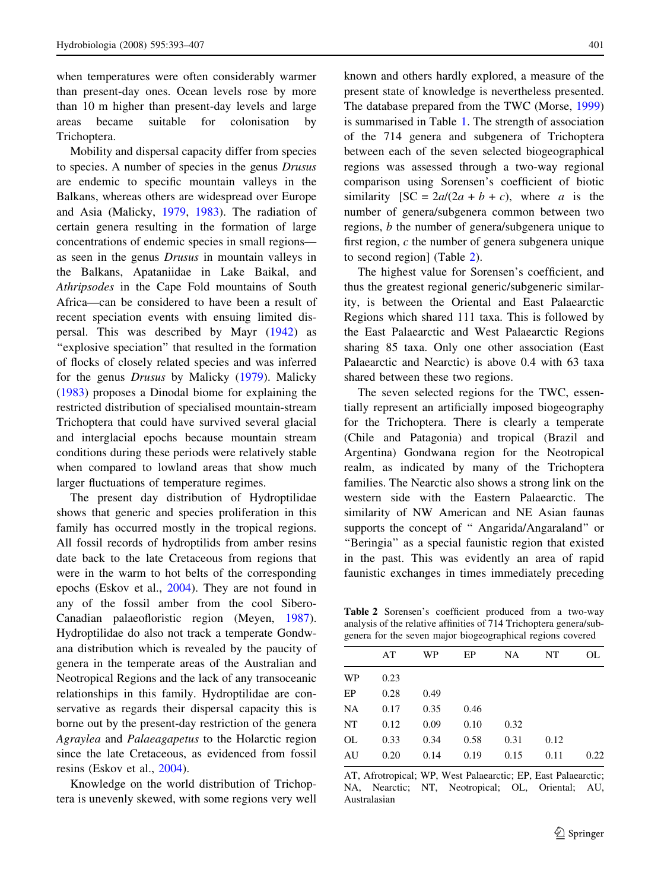when temperatures were often considerably warmer than present-day ones. Ocean levels rose by more than 10 m higher than present-day levels and large areas became suitable for colonisation by Trichoptera.

Mobility and dispersal capacity differ from species to species. A number of species in the genus Drusus are endemic to specific mountain valleys in the Balkans, whereas others are widespread over Europe and Asia (Malicky, [1979,](#page-13-0) [1983\)](#page-13-0). The radiation of certain genera resulting in the formation of large concentrations of endemic species in small regions as seen in the genus Drusus in mountain valleys in the Balkans, Apataniidae in Lake Baikal, and Athripsodes in the Cape Fold mountains of South Africa—can be considered to have been a result of recent speciation events with ensuing limited dispersal. This was described by Mayr [\(1942](#page-13-0)) as ''explosive speciation'' that resulted in the formation of flocks of closely related species and was inferred for the genus Drusus by Malicky [\(1979](#page-13-0)). Malicky [\(1983](#page-13-0)) proposes a Dinodal biome for explaining the restricted distribution of specialised mountain-stream Trichoptera that could have survived several glacial and interglacial epochs because mountain stream conditions during these periods were relatively stable when compared to lowland areas that show much larger fluctuations of temperature regimes.

The present day distribution of Hydroptilidae shows that generic and species proliferation in this family has occurred mostly in the tropical regions. All fossil records of hydroptilids from amber resins date back to the late Cretaceous from regions that were in the warm to hot belts of the corresponding epochs (Eskov et al., [2004](#page-13-0)). They are not found in any of the fossil amber from the cool Sibero-Canadian palaeofloristic region (Meyen, [1987](#page-13-0)). Hydroptilidae do also not track a temperate Gondwana distribution which is revealed by the paucity of genera in the temperate areas of the Australian and Neotropical Regions and the lack of any transoceanic relationships in this family. Hydroptilidae are conservative as regards their dispersal capacity this is borne out by the present-day restriction of the genera Agraylea and Palaeagapetus to the Holarctic region since the late Cretaceous, as evidenced from fossil resins (Eskov et al., [2004](#page-13-0)).

Knowledge on the world distribution of Trichoptera is unevenly skewed, with some regions very well known and others hardly explored, a measure of the present state of knowledge is nevertheless presented. The database prepared from the TWC (Morse, [1999\)](#page-13-0) is summarised in Table [1.](#page-3-0) The strength of association of the 714 genera and subgenera of Trichoptera between each of the seven selected biogeographical regions was assessed through a two-way regional comparison using Sorensen's coefficient of biotic similarity  $[SC = 2a/(2a + b + c)$ , where a is the number of genera/subgenera common between two regions, b the number of genera/subgenera unique to first region, c the number of genera subgenera unique to second region] (Table 2).

The highest value for Sorensen's coefficient, and thus the greatest regional generic/subgeneric similarity, is between the Oriental and East Palaearctic Regions which shared 111 taxa. This is followed by the East Palaearctic and West Palaearctic Regions sharing 85 taxa. Only one other association (East Palaearctic and Nearctic) is above 0.4 with 63 taxa shared between these two regions.

The seven selected regions for the TWC, essentially represent an artificially imposed biogeography for the Trichoptera. There is clearly a temperate (Chile and Patagonia) and tropical (Brazil and Argentina) Gondwana region for the Neotropical realm, as indicated by many of the Trichoptera families. The Nearctic also shows a strong link on the western side with the Eastern Palaearctic. The similarity of NW American and NE Asian faunas supports the concept of '' Angarida/Angaraland'' or ''Beringia'' as a special faunistic region that existed in the past. This was evidently an area of rapid faunistic exchanges in times immediately preceding

Table 2 Sorensen's coefficient produced from a two-way analysis of the relative affinities of 714 Trichoptera genera/subgenera for the seven major biogeographical regions covered

|           | AT   | WP   | EP   | NA   | NT   | OL   |
|-----------|------|------|------|------|------|------|
| WP        | 0.23 |      |      |      |      |      |
| EP        | 0.28 | 0.49 |      |      |      |      |
| <b>NA</b> | 0.17 | 0.35 | 0.46 |      |      |      |
| NT        | 0.12 | 0.09 | 0.10 | 0.32 |      |      |
| <b>OL</b> | 0.33 | 0.34 | 0.58 | 0.31 | 0.12 |      |
| AU        | 0.20 | 0.14 | 0.19 | 0.15 | 0.11 | 0.22 |

AT, Afrotropical; WP, West Palaearctic; EP, East Palaearctic; NA, Nearctic; NT, Neotropical; OL, Oriental; AU, Australasian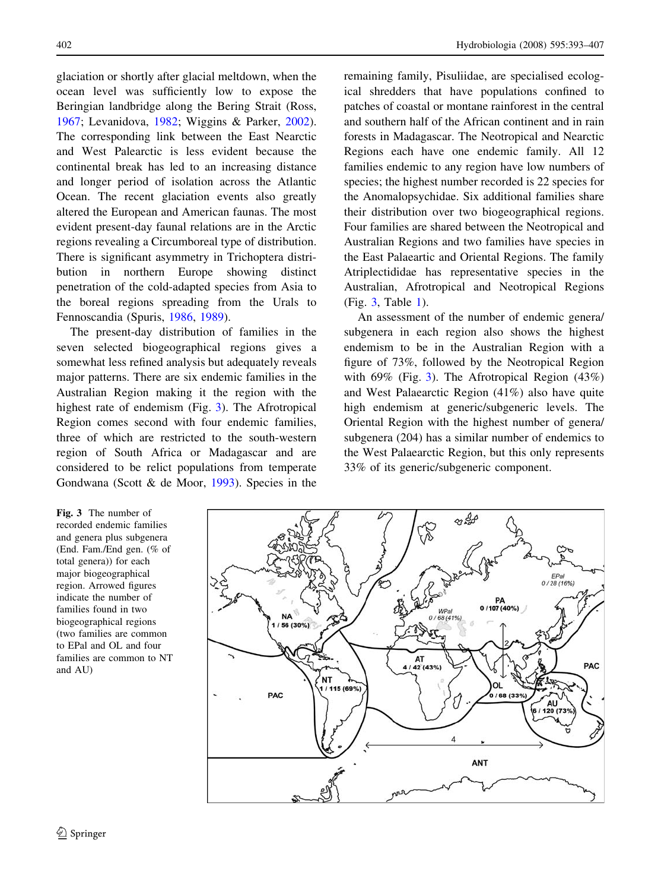glaciation or shortly after glacial meltdown, when the ocean level was sufficiently low to expose the Beringian landbridge along the Bering Strait (Ross, [1967;](#page-14-0) Levanidova, [1982](#page-13-0); Wiggins & Parker, [2002](#page-14-0)). The corresponding link between the East Nearctic and West Palearctic is less evident because the continental break has led to an increasing distance and longer period of isolation across the Atlantic Ocean. The recent glaciation events also greatly altered the European and American faunas. The most evident present-day faunal relations are in the Arctic regions revealing a Circumboreal type of distribution. There is significant asymmetry in Trichoptera distribution in northern Europe showing distinct penetration of the cold-adapted species from Asia to the boreal regions spreading from the Urals to Fennoscandia (Spuris, [1986,](#page-14-0) [1989](#page-14-0)).

The present-day distribution of families in the seven selected biogeographical regions gives a somewhat less refined analysis but adequately reveals major patterns. There are six endemic families in the Australian Region making it the region with the highest rate of endemism (Fig. 3). The Afrotropical Region comes second with four endemic families, three of which are restricted to the south-western region of South Africa or Madagascar and are considered to be relict populations from temperate Gondwana (Scott & de Moor, [1993\)](#page-14-0). Species in the

402 Hydrobiologia (2008) 595:393–407

remaining family, Pisuliidae, are specialised ecological shredders that have populations confined to patches of coastal or montane rainforest in the central and southern half of the African continent and in rain forests in Madagascar. The Neotropical and Nearctic Regions each have one endemic family. All 12 families endemic to any region have low numbers of species; the highest number recorded is 22 species for the Anomalopsychidae. Six additional families share their distribution over two biogeographical regions. Four families are shared between the Neotropical and Australian Regions and two families have species in the East Palaeartic and Oriental Regions. The family Atriplectididae has representative species in the Australian, Afrotropical and Neotropical Regions (Fig. 3, Table [1](#page-3-0)).

An assessment of the number of endemic genera/ subgenera in each region also shows the highest endemism to be in the Australian Region with a figure of 73%, followed by the Neotropical Region with 69% (Fig. 3). The Afrotropical Region (43%) and West Palaearctic Region (41%) also have quite high endemism at generic/subgeneric levels. The Oriental Region with the highest number of genera/ subgenera (204) has a similar number of endemics to the West Palaearctic Region, but this only represents 33% of its generic/subgeneric component.

Fig. 3 The number of recorded endemic families and genera plus subgenera (End. Fam./End gen. (% of total genera)) for each major biogeographical region. Arrowed figures indicate the number of families found in two biogeographical regions (two families are common to EPal and OL and four families are common to NT and AU)

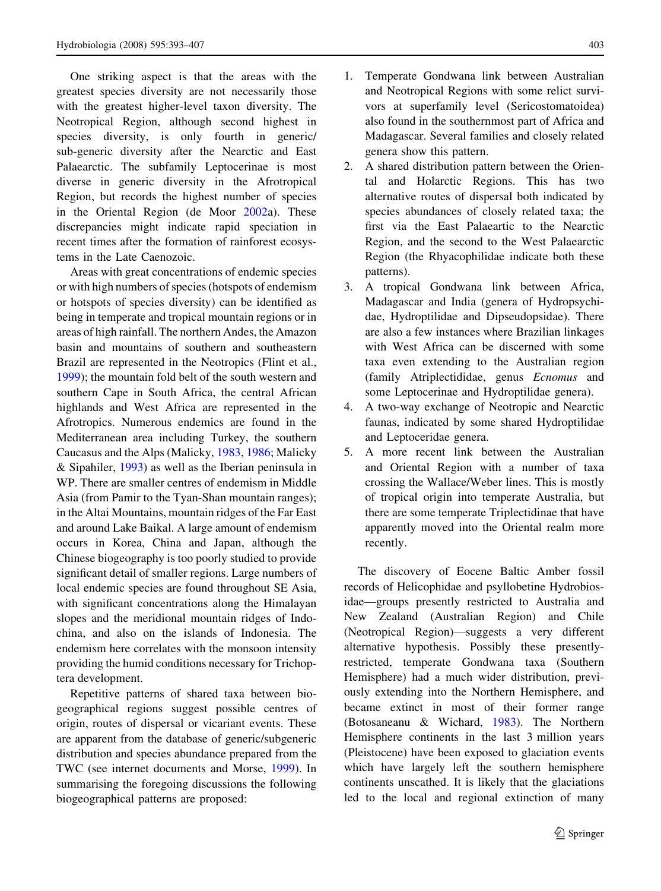One striking aspect is that the areas with the greatest species diversity are not necessarily those with the greatest higher-level taxon diversity. The Neotropical Region, although second highest in species diversity, is only fourth in generic/ sub-generic diversity after the Nearctic and East Palaearctic. The subfamily Leptocerinae is most diverse in generic diversity in the Afrotropical Region, but records the highest number of species in the Oriental Region (de Moor [2002a](#page-12-0)). These discrepancies might indicate rapid speciation in recent times after the formation of rainforest ecosystems in the Late Caenozoic.

Areas with great concentrations of endemic species or with high numbers of species (hotspots of endemism or hotspots of species diversity) can be identified as being in temperate and tropical mountain regions or in areas of high rainfall. The northern Andes, the Amazon basin and mountains of southern and southeastern Brazil are represented in the Neotropics (Flint et al., [1999\)](#page-13-0); the mountain fold belt of the south western and southern Cape in South Africa, the central African highlands and West Africa are represented in the Afrotropics. Numerous endemics are found in the Mediterranean area including Turkey, the southern Caucasus and the Alps (Malicky, [1983](#page-13-0), [1986;](#page-13-0) Malicky & Sipahiler, [1993\)](#page-13-0) as well as the Iberian peninsula in WP. There are smaller centres of endemism in Middle Asia (from Pamir to the Tyan-Shan mountain ranges); in the Altai Mountains, mountain ridges of the Far East and around Lake Baikal. A large amount of endemism occurs in Korea, China and Japan, although the Chinese biogeography is too poorly studied to provide significant detail of smaller regions. Large numbers of local endemic species are found throughout SE Asia, with significant concentrations along the Himalayan slopes and the meridional mountain ridges of Indochina, and also on the islands of Indonesia. The endemism here correlates with the monsoon intensity providing the humid conditions necessary for Trichoptera development.

Repetitive patterns of shared taxa between biogeographical regions suggest possible centres of origin, routes of dispersal or vicariant events. These are apparent from the database of generic/subgeneric distribution and species abundance prepared from the TWC (see internet documents and Morse, [1999](#page-13-0)). In summarising the foregoing discussions the following biogeographical patterns are proposed:

- 1. Temperate Gondwana link between Australian and Neotropical Regions with some relict survivors at superfamily level (Sericostomatoidea) also found in the southernmost part of Africa and Madagascar. Several families and closely related genera show this pattern.
- 2. A shared distribution pattern between the Oriental and Holarctic Regions. This has two alternative routes of dispersal both indicated by species abundances of closely related taxa; the first via the East Palaeartic to the Nearctic Region, and the second to the West Palaearctic Region (the Rhyacophilidae indicate both these patterns).
- 3. A tropical Gondwana link between Africa, Madagascar and India (genera of Hydropsychidae, Hydroptilidae and Dipseudopsidae). There are also a few instances where Brazilian linkages with West Africa can be discerned with some taxa even extending to the Australian region (family Atriplectididae, genus Ecnomus and some Leptocerinae and Hydroptilidae genera).
- 4. A two-way exchange of Neotropic and Nearctic faunas, indicated by some shared Hydroptilidae and Leptoceridae genera.
- 5. A more recent link between the Australian and Oriental Region with a number of taxa crossing the Wallace/Weber lines. This is mostly of tropical origin into temperate Australia, but there are some temperate Triplectidinae that have apparently moved into the Oriental realm more recently.

The discovery of Eocene Baltic Amber fossil records of Helicophidae and psyllobetine Hydrobiosidae—groups presently restricted to Australia and New Zealand (Australian Region) and Chile (Neotropical Region)—suggests a very different alternative hypothesis. Possibly these presentlyrestricted, temperate Gondwana taxa (Southern Hemisphere) had a much wider distribution, previously extending into the Northern Hemisphere, and became extinct in most of their former range (Botosaneanu & Wichard, [1983\)](#page-12-0). The Northern Hemisphere continents in the last 3 million years (Pleistocene) have been exposed to glaciation events which have largely left the southern hemisphere continents unscathed. It is likely that the glaciations led to the local and regional extinction of many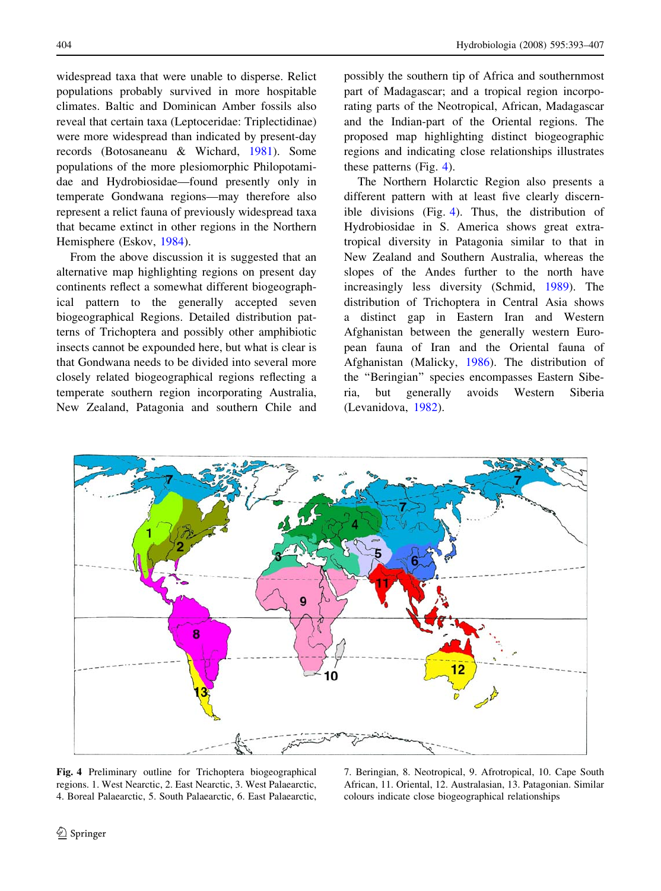widespread taxa that were unable to disperse. Relict populations probably survived in more hospitable climates. Baltic and Dominican Amber fossils also reveal that certain taxa (Leptoceridae: Triplectidinae) were more widespread than indicated by present-day records (Botosaneanu & Wichard, [1981](#page-12-0)). Some populations of the more plesiomorphic Philopotamidae and Hydrobiosidae—found presently only in temperate Gondwana regions—may therefore also represent a relict fauna of previously widespread taxa that became extinct in other regions in the Northern Hemisphere (Eskov, [1984\)](#page-13-0).

From the above discussion it is suggested that an alternative map highlighting regions on present day continents reflect a somewhat different biogeographical pattern to the generally accepted seven biogeographical Regions. Detailed distribution patterns of Trichoptera and possibly other amphibiotic insects cannot be expounded here, but what is clear is that Gondwana needs to be divided into several more closely related biogeographical regions reflecting a temperate southern region incorporating Australia, New Zealand, Patagonia and southern Chile and

possibly the southern tip of Africa and southernmost part of Madagascar; and a tropical region incorporating parts of the Neotropical, African, Madagascar and the Indian-part of the Oriental regions. The proposed map highlighting distinct biogeographic regions and indicating close relationships illustrates these patterns (Fig. 4).

The Northern Holarctic Region also presents a different pattern with at least five clearly discernible divisions (Fig. 4). Thus, the distribution of Hydrobiosidae in S. America shows great extratropical diversity in Patagonia similar to that in New Zealand and Southern Australia, whereas the slopes of the Andes further to the north have increasingly less diversity (Schmid, [1989](#page-14-0)). The distribution of Trichoptera in Central Asia shows a distinct gap in Eastern Iran and Western Afghanistan between the generally western European fauna of Iran and the Oriental fauna of Afghanistan (Malicky, [1986\)](#page-13-0). The distribution of the ''Beringian'' species encompasses Eastern Siberia, but generally avoids Western Siberia (Levanidova, [1982](#page-13-0)).



Fig. 4 Preliminary outline for Trichoptera biogeographical regions. 1. West Nearctic, 2. East Nearctic, 3. West Palaearctic, 4. Boreal Palaearctic, 5. South Palaearctic, 6. East Palaearctic,

7. Beringian, 8. Neotropical, 9. Afrotropical, 10. Cape South African, 11. Oriental, 12. Australasian, 13. Patagonian. Similar colours indicate close biogeographical relationships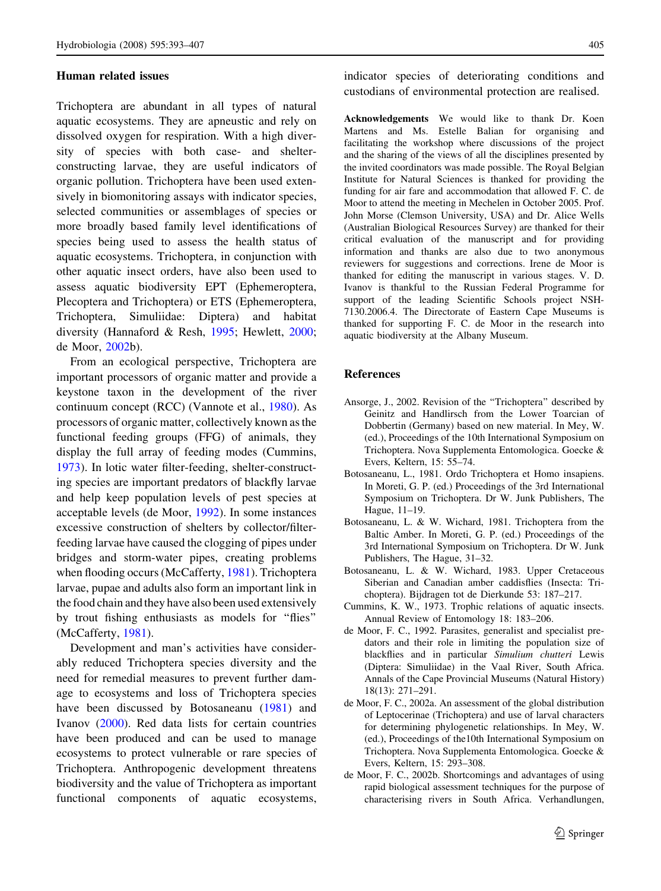#### <span id="page-12-0"></span>Human related issues

Trichoptera are abundant in all types of natural aquatic ecosystems. They are apneustic and rely on dissolved oxygen for respiration. With a high diversity of species with both case- and shelterconstructing larvae, they are useful indicators of organic pollution. Trichoptera have been used extensively in biomonitoring assays with indicator species, selected communities or assemblages of species or more broadly based family level identifications of species being used to assess the health status of aquatic ecosystems. Trichoptera, in conjunction with other aquatic insect orders, have also been used to assess aquatic biodiversity EPT (Ephemeroptera, Plecoptera and Trichoptera) or ETS (Ephemeroptera, Trichoptera, Simuliidae: Diptera) and habitat diversity (Hannaford & Resh, [1995](#page-13-0); Hewlett, [2000](#page-13-0); de Moor, 2002b).

From an ecological perspective, Trichoptera are important processors of organic matter and provide a keystone taxon in the development of the river continuum concept (RCC) (Vannote et al., [1980](#page-14-0)). As processors of organic matter, collectively known as the functional feeding groups (FFG) of animals, they display the full array of feeding modes (Cummins, 1973). In lotic water filter-feeding, shelter-constructing species are important predators of blackfly larvae and help keep population levels of pest species at acceptable levels (de Moor, 1992). In some instances excessive construction of shelters by collector/filterfeeding larvae have caused the clogging of pipes under bridges and storm-water pipes, creating problems when flooding occurs (McCafferty, [1981\)](#page-13-0). Trichoptera larvae, pupae and adults also form an important link in the food chain and they have also been used extensively by trout fishing enthusiasts as models for ''flies'' (McCafferty, [1981\)](#page-13-0).

Development and man's activities have considerably reduced Trichoptera species diversity and the need for remedial measures to prevent further damage to ecosystems and loss of Trichoptera species have been discussed by Botosaneanu (1981) and Ivanov ([2000\)](#page-13-0). Red data lists for certain countries have been produced and can be used to manage ecosystems to protect vulnerable or rare species of Trichoptera. Anthropogenic development threatens biodiversity and the value of Trichoptera as important functional components of aquatic ecosystems,

indicator species of deteriorating conditions and custodians of environmental protection are realised.

Acknowledgements We would like to thank Dr. Koen Martens and Ms. Estelle Balian for organising and facilitating the workshop where discussions of the project and the sharing of the views of all the disciplines presented by the invited coordinators was made possible. The Royal Belgian Institute for Natural Sciences is thanked for providing the funding for air fare and accommodation that allowed F. C. de Moor to attend the meeting in Mechelen in October 2005. Prof. John Morse (Clemson University, USA) and Dr. Alice Wells (Australian Biological Resources Survey) are thanked for their critical evaluation of the manuscript and for providing information and thanks are also due to two anonymous reviewers for suggestions and corrections. Irene de Moor is thanked for editing the manuscript in various stages. V. D. Ivanov is thankful to the Russian Federal Programme for support of the leading Scientific Schools project NSH-7130.2006.4. The Directorate of Eastern Cape Museums is thanked for supporting F. C. de Moor in the research into aquatic biodiversity at the Albany Museum.

# References

- Ansorge, J., 2002. Revision of the "Trichoptera" described by Geinitz and Handlirsch from the Lower Toarcian of Dobbertin (Germany) based on new material. In Mey, W. (ed.), Proceedings of the 10th International Symposium on Trichoptera. Nova Supplementa Entomologica. Goecke & Evers, Keltern, 15: 55–74.
- Botosaneanu, L., 1981. Ordo Trichoptera et Homo insapiens. In Moreti, G. P. (ed.) Proceedings of the 3rd International Symposium on Trichoptera. Dr W. Junk Publishers, The Hague, 11–19.
- Botosaneanu, L. & W. Wichard, 1981. Trichoptera from the Baltic Amber. In Moreti, G. P. (ed.) Proceedings of the 3rd International Symposium on Trichoptera. Dr W. Junk Publishers, The Hague, 31–32.
- Botosaneanu, L. & W. Wichard, 1983. Upper Cretaceous Siberian and Canadian amber caddisflies (Insecta: Trichoptera). Bijdragen tot de Dierkunde 53: 187–217.
- Cummins, K. W., 1973. Trophic relations of aquatic insects. Annual Review of Entomology 18: 183–206.
- de Moor, F. C., 1992. Parasites, generalist and specialist predators and their role in limiting the population size of blackflies and in particular Simulium chutteri Lewis (Diptera: Simuliidae) in the Vaal River, South Africa. Annals of the Cape Provincial Museums (Natural History) 18(13): 271–291.
- de Moor, F. C., 2002a. An assessment of the global distribution of Leptocerinae (Trichoptera) and use of larval characters for determining phylogenetic relationships. In Mey, W. (ed.), Proceedings of the10th International Symposium on Trichoptera. Nova Supplementa Entomologica. Goecke & Evers, Keltern, 15: 293–308.
- de Moor, F. C., 2002b. Shortcomings and advantages of using rapid biological assessment techniques for the purpose of characterising rivers in South Africa. Verhandlungen,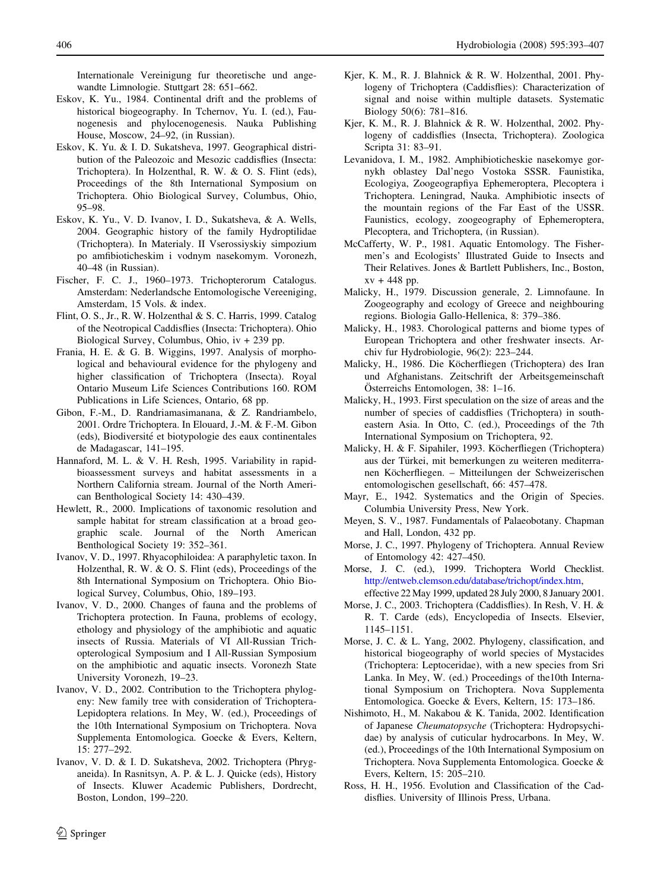<span id="page-13-0"></span>Internationale Vereinigung fur theoretische und angewandte Limnologie. Stuttgart 28: 651–662.

- Eskov, K. Yu., 1984. Continental drift and the problems of historical biogeography. In Tchernov, Yu. I. (ed.), Faunogenesis and phylocenogenesis. Nauka Publishing House, Moscow, 24–92, (in Russian).
- Eskov, K. Yu. & I. D. Sukatsheva, 1997. Geographical distribution of the Paleozoic and Mesozic caddisflies (Insecta: Trichoptera). In Holzenthal, R. W. & O. S. Flint (eds), Proceedings of the 8th International Symposium on Trichoptera. Ohio Biological Survey, Columbus, Ohio, 95–98.
- Eskov, K. Yu., V. D. Ivanov, I. D., Sukatsheva, & A. Wells, 2004. Geographic history of the family Hydroptilidae (Trichoptera). In Materialy. II Vserossiyskiy simpozium po amfibioticheskim i vodnym nasekomym. Voronezh, 40–48 (in Russian).
- Fischer, F. C. J., 1960–1973. Trichopterorum Catalogus. Amsterdam: Nederlandsche Entomologische Vereeniging, Amsterdam, 15 Vols. & index.
- Flint, O. S., Jr., R. W. Holzenthal & S. C. Harris, 1999. Catalog of the Neotropical Caddisflies (Insecta: Trichoptera). Ohio Biological Survey, Columbus, Ohio, iv + 239 pp.
- Frania, H. E. & G. B. Wiggins, 1997. Analysis of morphological and behavioural evidence for the phylogeny and higher classification of Trichoptera (Insecta). Royal Ontario Museum Life Sciences Contributions 160. ROM Publications in Life Sciences, Ontario, 68 pp.
- Gibon, F.-M., D. Randriamasimanana, & Z. Randriambelo, 2001. Ordre Trichoptera. In Elouard, J.-M. & F.-M. Gibon (eds), Biodiversité et biotypologie des eaux continentales de Madagascar, 141–195.
- Hannaford, M. L. & V. H. Resh, 1995. Variability in rapidbioassessment surveys and habitat assessments in a Northern California stream. Journal of the North American Benthological Society 14: 430–439.
- Hewlett, R., 2000. Implications of taxonomic resolution and sample habitat for stream classification at a broad geographic scale. Journal of the North American Benthological Society 19: 352–361.
- Ivanov, V. D., 1997. Rhyacophiloidea: A paraphyletic taxon. In Holzenthal, R. W. & O. S. Flint (eds), Proceedings of the 8th International Symposium on Trichoptera. Ohio Biological Survey, Columbus, Ohio, 189–193.
- Ivanov, V. D., 2000. Changes of fauna and the problems of Trichoptera protection. In Fauna, problems of ecology, ethology and physiology of the amphibiotic and aquatic insects of Russia. Materials of VI All-Russian Trichopterological Symposium and I All-Russian Symposium on the amphibiotic and aquatic insects. Voronezh State University Voronezh, 19–23.
- Ivanov, V. D., 2002. Contribution to the Trichoptera phylogeny: New family tree with consideration of Trichoptera-Lepidoptera relations. In Mey, W. (ed.), Proceedings of the 10th International Symposium on Trichoptera. Nova Supplementa Entomologica. Goecke & Evers, Keltern, 15: 277–292.
- Ivanov, V. D. & I. D. Sukatsheva, 2002. Trichoptera (Phryganeida). In Rasnitsyn, A. P. & L. J. Quicke (eds), History of Insects. Kluwer Academic Publishers, Dordrecht, Boston, London, 199–220.
- Kjer, K. M., R. J. Blahnick & R. W. Holzenthal, 2001. Phylogeny of Trichoptera (Caddisflies): Characterization of signal and noise within multiple datasets. Systematic Biology 50(6): 781–816.
- Kjer, K. M., R. J. Blahnick & R. W. Holzenthal, 2002. Phylogeny of caddisflies (Insecta, Trichoptera). Zoologica Scripta 31: 83–91.
- Levanidova, I. M., 1982. Amphibioticheskie nasekomye gornykh oblastey Dal'nego Vostoka SSSR. Faunistika, Ecologiya, Zoogeograpfiya Ephemeroptera, Plecoptera i Trichoptera. Leningrad, Nauka. Amphibiotic insects of the mountain regions of the Far East of the USSR. Faunistics, ecology, zoogeography of Ephemeroptera, Plecoptera, and Trichoptera, (in Russian).
- McCafferty, W. P., 1981. Aquatic Entomology. The Fishermen's and Ecologists' Illustrated Guide to Insects and Their Relatives. Jones & Bartlett Publishers, Inc., Boston, xv + 448 pp.
- Malicky, H., 1979. Discussion generale, 2. Limnofaune. In Zoogeography and ecology of Greece and neighbouring regions. Biologia Gallo-Hellenica, 8: 379–386.
- Malicky, H., 1983. Chorological patterns and biome types of European Trichoptera and other freshwater insects. Archiv fur Hydrobiologie, 96(2): 223–244.
- Malicky, H., 1986. Die Köcherfliegen (Trichoptera) des Iran und Afghanistans. Zeitschrift der Arbeitsgemeinschaft Österreichs Entomologen, 38: 1-16.
- Malicky, H., 1993. First speculation on the size of areas and the number of species of caddisflies (Trichoptera) in southeastern Asia. In Otto, C. (ed.), Proceedings of the 7th International Symposium on Trichoptera, 92.
- Malicky, H. & F. Sipahiler, 1993. Köcherfliegen (Trichoptera) aus der Türkei, mit bemerkungen zu weiteren mediterranen Köcherfliegen. – Mitteilungen der Schweizerischen entomologischen gesellschaft, 66: 457–478.
- Mayr, E., 1942. Systematics and the Origin of Species. Columbia University Press, New York.
- Meyen, S. V., 1987. Fundamentals of Palaeobotany. Chapman and Hall, London, 432 pp.
- Morse, J. C., 1997. Phylogeny of Trichoptera. Annual Review of Entomology 42: 427–450.
- Morse, J. C. (ed.), 1999. Trichoptera World Checklist. <http://entweb.clemson.edu/database/trichopt/index.htm>, effective 22 May 1999, updated 28 July 2000, 8 January 2001.
- Morse, J. C., 2003. Trichoptera (Caddisflies). In Resh, V. H. & R. T. Carde (eds), Encyclopedia of Insects. Elsevier, 1145–1151.
- Morse, J. C. & L. Yang, 2002. Phylogeny, classification, and historical biogeography of world species of Mystacides (Trichoptera: Leptoceridae), with a new species from Sri Lanka. In Mey, W. (ed.) Proceedings of the10th International Symposium on Trichoptera. Nova Supplementa Entomologica. Goecke & Evers, Keltern, 15: 173–186.
- Nishimoto, H., M. Nakabou & K. Tanida, 2002. Identification of Japanese Cheumatopsyche (Trichoptera: Hydropsychidae) by analysis of cuticular hydrocarbons. In Mey, W. (ed.), Proceedings of the 10th International Symposium on Trichoptera. Nova Supplementa Entomologica. Goecke & Evers, Keltern, 15: 205–210.
- Ross, H. H., 1956. Evolution and Classification of the Caddisflies. University of Illinois Press, Urbana.